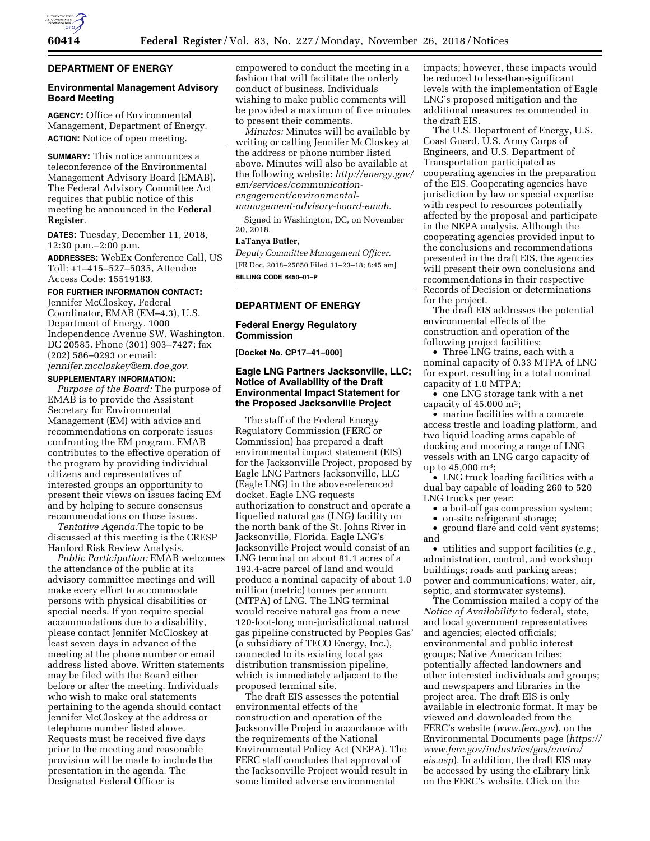

# **DEPARTMENT OF ENERGY**

## **Environmental Management Advisory Board Meeting**

**AGENCY:** Office of Environmental Management, Department of Energy. **ACTION:** Notice of open meeting.

**SUMMARY:** This notice announces a teleconference of the Environmental Management Advisory Board (EMAB). The Federal Advisory Committee Act requires that public notice of this meeting be announced in the **Federal Register**.

**DATES:** Tuesday, December 11, 2018, 12:30 p.m.–2:00 p.m.

**ADDRESSES:** WebEx Conference Call, US Toll: +1–415–527–5035, Attendee Access Code: 15519183.

### **FOR FURTHER INFORMATION CONTACT:**

Jennifer McCloskey, Federal Coordinator, EMAB (EM–4.3), U.S. Department of Energy, 1000 Independence Avenue SW, Washington, DC 20585. Phone (301) 903–7427; fax (202) 586–0293 or email: *[jennifer.mccloskey@em.doe.gov.](mailto:jennifer.mccloskey@em.doe.gov)* 

#### **SUPPLEMENTARY INFORMATION:**

*Purpose of the Board:* The purpose of EMAB is to provide the Assistant Secretary for Environmental Management (EM) with advice and recommendations on corporate issues confronting the EM program. EMAB contributes to the effective operation of the program by providing individual citizens and representatives of interested groups an opportunity to present their views on issues facing EM and by helping to secure consensus recommendations on those issues.

*Tentative Agenda:*The topic to be discussed at this meeting is the CRESP Hanford Risk Review Analysis.

*Public Participation:* EMAB welcomes the attendance of the public at its advisory committee meetings and will make every effort to accommodate persons with physical disabilities or special needs. If you require special accommodations due to a disability, please contact Jennifer McCloskey at least seven days in advance of the meeting at the phone number or email address listed above. Written statements may be filed with the Board either before or after the meeting. Individuals who wish to make oral statements pertaining to the agenda should contact Jennifer McCloskey at the address or telephone number listed above. Requests must be received five days prior to the meeting and reasonable provision will be made to include the presentation in the agenda. The Designated Federal Officer is

empowered to conduct the meeting in a fashion that will facilitate the orderly conduct of business. Individuals wishing to make public comments will be provided a maximum of five minutes to present their comments.

*Minutes:* Minutes will be available by writing or calling Jennifer McCloskey at the address or phone number listed above. Minutes will also be available at the following website: *[http://energy.gov/](http://energy.gov/em/services/communication-engagement/environmental-management-advisory-board-emab)  [em/services/communication](http://energy.gov/em/services/communication-engagement/environmental-management-advisory-board-emab)engagement/environmental[management-advisory-board-emab.](http://energy.gov/em/services/communication-engagement/environmental-management-advisory-board-emab)* 

Signed in Washington, DC, on November 20, 2018.

#### **LaTanya Butler,**

*Deputy Committee Management Officer.*  [FR Doc. 2018–25650 Filed 11–23–18; 8:45 am] **BILLING CODE 6450–01–P** 

## **DEPARTMENT OF ENERGY**

## **Federal Energy Regulatory Commission**

**[Docket No. CP17–41–000]** 

# **Eagle LNG Partners Jacksonville, LLC; Notice of Availability of the Draft Environmental Impact Statement for the Proposed Jacksonville Project**

The staff of the Federal Energy Regulatory Commission (FERC or Commission) has prepared a draft environmental impact statement (EIS) for the Jacksonville Project, proposed by Eagle LNG Partners Jacksonville, LLC (Eagle LNG) in the above-referenced docket. Eagle LNG requests authorization to construct and operate a liquefied natural gas (LNG) facility on the north bank of the St. Johns River in Jacksonville, Florida. Eagle LNG's Jacksonville Project would consist of an LNG terminal on about 81.1 acres of a 193.4-acre parcel of land and would produce a nominal capacity of about 1.0 million (metric) tonnes per annum (MTPA) of LNG. The LNG terminal would receive natural gas from a new 120-foot-long non-jurisdictional natural gas pipeline constructed by Peoples Gas' (a subsidiary of TECO Energy, Inc.), connected to its existing local gas distribution transmission pipeline, which is immediately adjacent to the proposed terminal site.

The draft EIS assesses the potential environmental effects of the construction and operation of the Jacksonville Project in accordance with the requirements of the National Environmental Policy Act (NEPA). The FERC staff concludes that approval of the Jacksonville Project would result in some limited adverse environmental

impacts; however, these impacts would be reduced to less-than-significant levels with the implementation of Eagle LNG's proposed mitigation and the additional measures recommended in the draft EIS.

The U.S. Department of Energy, U.S. Coast Guard, U.S. Army Corps of Engineers, and U.S. Department of Transportation participated as cooperating agencies in the preparation of the EIS. Cooperating agencies have jurisdiction by law or special expertise with respect to resources potentially affected by the proposal and participate in the NEPA analysis. Although the cooperating agencies provided input to the conclusions and recommendations presented in the draft EIS, the agencies will present their own conclusions and recommendations in their respective Records of Decision or determinations for the project.

The draft EIS addresses the potential environmental effects of the construction and operation of the following project facilities:

• Three LNG trains, each with a nominal capacity of 0.33 MTPA of LNG for export, resulting in a total nominal capacity of 1.0 MTPA;

• one LNG storage tank with a net capacity of  $45,000$  m<sup>3</sup>;

• marine facilities with a concrete access trestle and loading platform, and two liquid loading arms capable of docking and mooring a range of LNG vessels with an LNG cargo capacity of up to 45,000 m3;

• LNG truck loading facilities with a dual bay capable of loading 260 to 520 LNG trucks per year;

• a boil-off gas compression system;<br>• on-site refrigerant storage:

• on-site refrigerant storage;

• ground flare and cold vent systems; and

• utilities and support facilities (*e.g.,*  administration, control, and workshop buildings; roads and parking areas; power and communications; water, air, septic, and stormwater systems).

The Commission mailed a copy of the *Notice of Availability* to federal, state, and local government representatives and agencies; elected officials; environmental and public interest groups; Native American tribes; potentially affected landowners and other interested individuals and groups; and newspapers and libraries in the project area. The draft EIS is only available in electronic format. It may be viewed and downloaded from the FERC's website (*[www.ferc.gov](http://www.ferc.gov)*), on the Environmental Documents page (*[https://](https://www.ferc.gov/industries/gas/enviro/eis.asp)  [www.ferc.gov/industries/gas/enviro/](https://www.ferc.gov/industries/gas/enviro/eis.asp)  [eis.asp](https://www.ferc.gov/industries/gas/enviro/eis.asp)*). In addition, the draft EIS may be accessed by using the eLibrary link on the FERC's website. Click on the